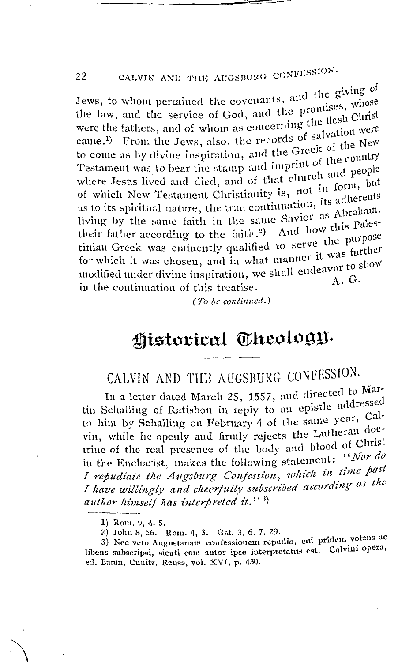Jews, to whom pertained the covenants, and the giving of the law, and the service of God, and the promises, whose were the fathers, and of whom as concerning the flesh Christ came.<sup>1</sup>) From the Jews, also, the records of salvation were to come as by divine inspiration, and the Greek of the New Testament was to bear the stamp and imprint of the country where Jesus lived and died, and of that church and people of which New Testament Christianity is, not in form, but as to its spiritual nature, the true continuation, its adherents living by the same faith in the same Savior as Abraham, their father according to the faith.<sup>2</sup>) And how this Palestinian Greek was eminently qualified to serve the purpose for which it was chosen, and in what manner it was further modified under divine inspiration, we shall endeavor to show A. G. in the continuation of this treatise.

(To be continued.)

## Historical Theology.

# CALVIN AND THE AUGSBURG CONFESSION.

In a letter dated March 25, 1557, and directed to Martin Schalling of Ratisbon in reply to an epistle addressed to him by Schalling on February 4 of the same year, Calvin, while he openly and firmly rejects the Lutheran doctrine of the real presence of the body and blood of Christ in the Eucharist, makes the following statement: "Nor do I repudiate the Augsburg Confession, which in time past I have willingly and cheerfully subscribed according as the author himself has interpreted it."3)

<sup>1)</sup> Rom. 9, 4.5.

<sup>2)</sup> John 8, 56. Rom. 4, 3. Gal. 3, 6. 7. 29.

<sup>3)</sup> Nec vero Augustanam confessionem repudio, cui pridem volens ac libens subscripsi, sicuti eam autor ipse interpretatus est. Calvini opera, ed. Baum, Cunitz, Reuss, vol. XVI, p. 430.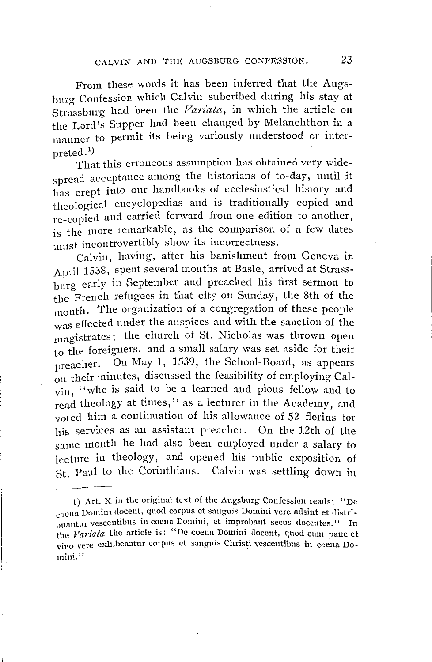From these words it has been inferred that the Augsburg Confession which Calvin subcribed dnring his stay at Strassburg hacl been the *Variata,* in which the article on the Lord's Supper had been changed by Melanchthon in a manner to permit its being variously understood or inter- $\text{preted.}^{1)}$ 

That this erroneous assumption has obtained very widespread acceptauce among the historians of to-day, until it has crept into our handbooks of ecclesiastical history and theological encyclopedias and is traditionally copied and re-copied and carried forward from one edition to another, is the more remarkable, as the comparison of a few dates must incontrovertibly show its incorrectness.

Calvin, having, after his banishment from Geneva in April 1538, spent several months at Basle, arrived at Strassburg early in September and preached his first sermon to the French refugees in that city on Sunday, the 8th of the month. The organization of a congregation of these people was effected under the auspices and with the sanction of the <sup>111</sup>agistrates; the clmrch of St. Nicholas was thrown open to the foreigners, and a small salary was set aside for their preacher. On May 1, 1539, the School-Board, as appears 011 their minutes, discussed the feasibility of employing Calvin, "who is said to be a learned and pious fellow and to read theology at times,'' as a lecturer in the Academy, and voted him a contiuuation of his allowance of 52 florins for his services as au assistaut preacher. On the 12th of the same month he had also been employed under a salary to lecture in theology, and opened his pnblic exposition of St. Paul to the Corinthians. Calvin was settling down in ---~----

<sup>1)</sup> Art. X in the original text of the Augsburg Confession reads: "De coena Domini docent, quod corpus et sanguis Domini vere adsint et distribuantur vescentibus in coena Domini, et improbant secus docentes." In the *Variata* the article is: "De coena Domini docent, quod cum pane et vino vere exhibeantur corpus et sanguis Christi vescentibus in coena Domini.''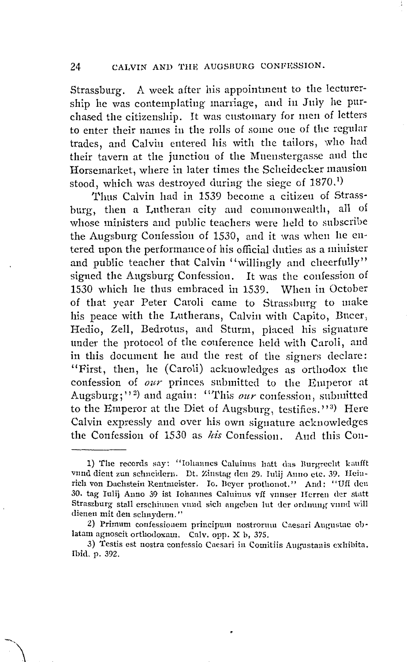Strassburg. A week after his appointment to the lecturership he was contemplating marriage, and in July he purchased the citizenship. lt was customary for men of letters to enter their names in the rolls of some one of the regular trades, and Calvin entered his with the tailors, who had their tavern at the junction of the Muenstergasse and the Horsemarket, where in later times the Scheidecker mansion stood, which was destroyed during the siege of 1870.<sup>1)</sup>

Tlms Calvin had in 1539 become a citizen of Strassburg, then a Lutheran city and commonwealth, all of whose ministers and public teachers were held to subscribe the Augsburg Confession of 1530, and it was when he entered upon the performance of his official duties as a minister and public teacher that Calvin "willingly and cheerfully" signed the Augsburg Confession. It was the confession of 1530 which he tlms embraced in 1539. When in October of tliat year Peter Caroli came to Strassburg to make his peace with the Lutherans, Calvin with Capito, Bucer, Hedio, Zell, Bedrotus, and Sturm, placed his signature under the protocol of the conference held with Caroli, and in this document he and the rest of the signers declare: "First, then, he (Caroli) acknowledges as orthodox the confession of *our* princes submitted to the Emperor at Augsburg;"<sup>2</sup>) and again: "This our confession, submitted to the Emperor at the Diet of Augsburg, testifies."<sup>3</sup>) Here Calvin expressly and over bis own signature acknowledges the Confession of 1530 as *his* Confession. And this Con-

2) Primum confessionem principum nostrorum Caesari Augustac oblatam agnoscit orthodoxam. Calv. opp. X b, 375.

<sup>1)</sup> The records say: "Iohannes Caluinus hatt das Burgrecht kaufft vnnd dient zuu schneidern. Dt. Zinstag den 29. Iulij Anno etc. 39. Heinrich von Dachstein Rentmeister. Io. Beyer prothonot." And: "Uff den 30. tag Iulij Anno 39 ist Johannes Caluinus vff vnnser Herren der statt Straszburg stall erschinnen vnml sich angehen lut der ordmmg vnnd will dienen mit deu schnydern. ''

<sup>3)</sup> Testis est nostra confessio Caesari in Comitiis Augustanis exhibita. lbicl. p. 392.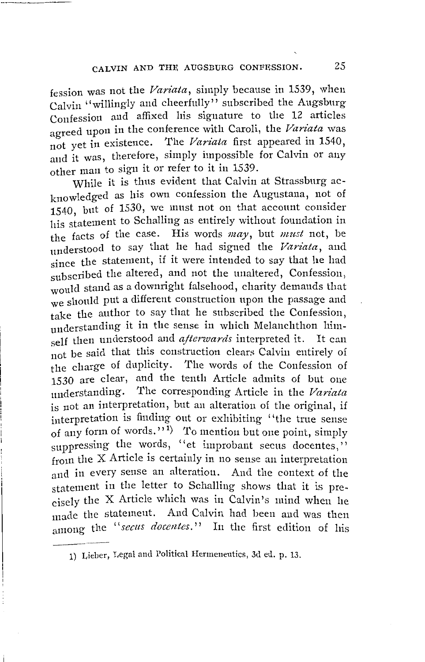fession was not the *Variata,* simply because in 1539, when Calvin ''willingly and cheerfully'' subscribed the Augsburg Confession and affixed his signature to the 12 articles agreed upon in the conference with Caroli, the *Variata* was not yet in existence. The *Variata* first appeared in 1540, and it was, therefore, simply impossible for Calvin or any other man to sign it or refer to it in 1539.

While it is thus evident that Calvin at Strassburg acknowledged as his own confession the Augustana, not of 1540, but of 1530, we must not on that account consider his statement to Schalling as entirely without foundation in the facts of the case. His words *may,* but *must* not, be understood to say tliat he had sigued the *Variata,* and since the statement, if it were intended to say that he had subscribed the altered, and not the unaltered, Confession, would stand as a downright falsehood, charity demands that we should put a different construction upon the passage and take the author to say that he subscribed the Confession. understanding it in the sense in which Melanchthon himself then understood and *afterwards* interpreted it. It can not be said that this construction clears Calvin entirely of the charge of duplicity. The words of the Confession of 1530 are clear, and the tenth Article admits of but one understanding. The corresponding Article in the *Variata*  is not an interpretation, but an alteration of the original, if interpretation is finding out or exhibiting ''the true sense of any form of words."<sup>1</sup>) To mention but one point, simply suppressing the words, "et improbant secus docentes," from the X Article is certainly in no sense an interpretation and in every sense an alteration. And the context of the statement in the letter to Schalling shows that it is precisely the X Article which was in Calvin's mind when he made the statement. And Calvin had been and was then among the "*secus docentes*." In the first edition of his

<sup>1)</sup> Lieber, Legal and Political Hermeneutics, 3d ed. p. 13.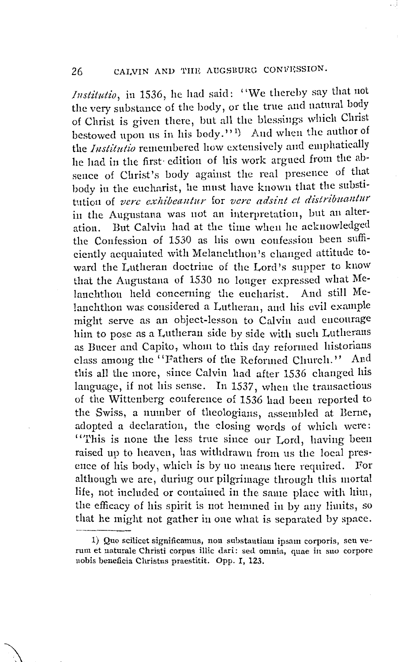Institutio, in 1536, he had said: "We thereby say that not the very substance of the body, or the true and natural body of Christ is given there, but all the blessings which Christ bestowed upon us in his body."<sup>1</sup>) And when the author of the *Institutio* remembered how extensively and emphatically he had in the first edition of his work argued from the absence of Christ's body against the real presence of that body in the eucharist, he must have known that the substitution of verc exhibeantur for verc adsint et distribuantur in the Augustana was not an interpretation, but an alter-But Calvin had at the time when he acknowledged ation. the Confession of 1530 as his own confession been sufficiently acquainted with Melanchthon's changed attitude toward the Lutheran doctrine of the Lord's supper to know that the Augustana of 1530 no longer expressed what Melanchthon held concerning the eucharist. And still Melanchthon was considered a Lutheran, and his evil example might serve as an object-lesson to Calvin and encourage him to pose as a Lutheran side by side with such Lutherans as Bucer and Capito, whom to this day reformed historians class among the "Fathers of the Reformed Church." And this all the more, since Calvin had after 1536 changed his language, if not his sense. In 1537, when the transactions of the Wittenberg conference of 1536 had been reported to the Swiss, a number of theologians, assembled at Berne, adopted a declaration, the closing words of which were: "This is none the less true since our Lord, having been raised up to heaven, has withdrawn from us the local presence of his body, which is by no means here required. For although we are, during our pilgrimage through this mortal life, not included or contained in the same place with him, the efficacy of his spirit is not hemmed in by any limits, so that he might not gather in one what is separated by space.

<sup>1)</sup> Quo scilicet significamus, non substantiam ipsam corporis, seu verum et naturale Christi corpus illic dari: sed omnia, quae in suo corpore nobis beneficia Christus praestitit. Opp. I, 123.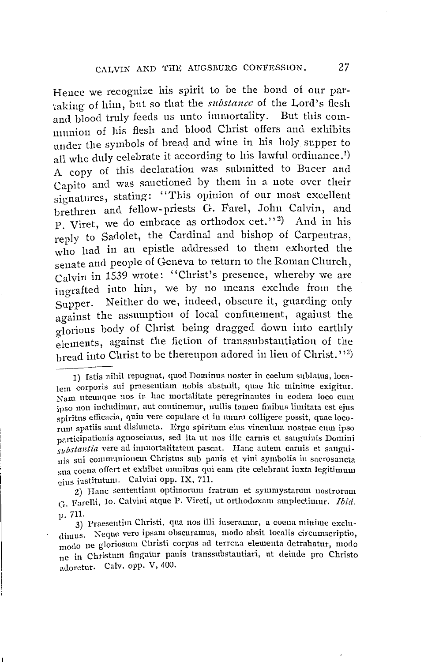Hence we recognize his spirit to be the bond of our partakiug of him, but so tliat the *substance* of the Lord's flesh and blood truly feeds us unto immortality. But this communion of his flesh and blood Christ offers and exhibits under the symbols of bread and wine in his holy supper to all who duly celebrate it according to his lawful ordinance.<sup>1</sup>) A copy of this declaratiou was submitted to Bucer and Capito and was sanctioned by them in a note over their signatures, stating: "This opinion of our most excellent brethren and fellow-priests G. Farel, John Calvin, and p. Viret, we do embrace as orthodox cet."<sup>2</sup>) And in his reply to Sadolet, the Cardinal and bishop of Carpentras, who had in an epistle addressed to them exhorted the senate and people of Geneva to return to the Roman Church, Calvin in 1539 wrote: ''Christ's presence, whereby we are iugrafted into him, we by no means exclude from the Supper. Neither do we, indeed, obscure it, guarding only against the assumption of local confinement, against the glorious body of Christ being dragged down into earthly elements, against the fiction of transsubstantiation of the bread into Christ to be thereupon adored in lieu of Christ.''3)

2) Hanc sententiam optimorum fratrum et symmystarum nostrorum G. Farelli, Io. Calvini atque P. Vireti, ut orthodoxam amplectimur. Ibid.

<sup>1)</sup> Istis nihil repugnat, quod Dominus noster in coelum sublatus, localem corporis sui praesentiam nobis abstulit, quae hic minime exigitur. Nam utcunque nos in hac mortalitate peregrinantes in eodem loco cum ipso non includimur, aut continemur, nullis tamen finibus limitata est ejus spiritus efficacia, quiu vere copulare et in uuum colligere possit, quae locorum spatiis sunt disiuncta. Lergo spiritum eius vinculum nostrae cum ipso participationis agnoscimus, sed ita ut nos ille carnis et sanguinis Domini *substantia* vere ad immortalitatem pascat. Haue autem carnis et sauguiuis sni communionem Christus sub panis et vini symbolis in sacrosancta sua coena offert et exhibet omnibus qui eam rite celebrant iuxta legitimum eius institutum. Calviui opp. IX, 711.

p. 711.<br>3) Praesentim Christi, qua nos illi inseramur, a coena minime excludimus. Nequc vero ipsam obscuramus, modo absit localis circumscriptio, modo ne gloriosum Christi corpus ad terrena elementa detrahatur, modo nc in Christum fingatur pauis transsubstautiari, ut deindc pro Christo adoretur. Calv. opp. V, 400.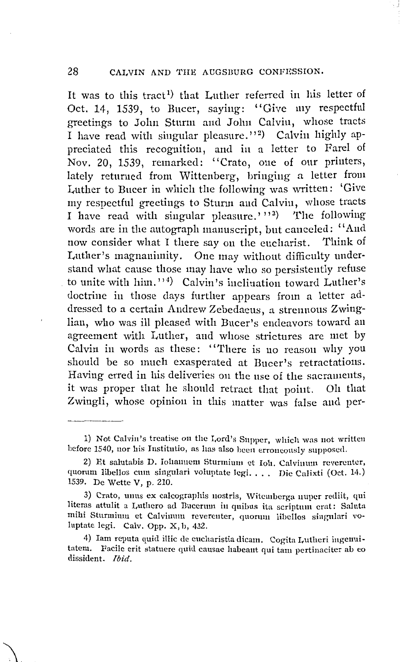It was to this tract<sup>1</sup>) that Luther referred in his letter of Oct. 14, 1539, to Bucer, saying: "Give my respectful greetings to John Sturm and John Calvin, whosc tracts I have read with singular pleasure."<sup>2)</sup> Calvin highly appreciated this recognition, and in a letter to Farel of Nov. 20, 1539, remarked: "Crato, one of our printers, lately returned from Wittenberg, bringing a letter from Luther to Bucer in which the following was written: 'Give my respectful greetings to Sturm and Calvin, whose tracts I have read with singular pleasure.'  $1$ <sup>3</sup>) The following words are in the autograph manuscript, but canceled: '' And now consider what I there say on the eucharist. Think of Luther's magnanimity. One may without difficulty understand what cause those may have who so persistently refuse to unite with him."<sup>4</sup>) Calvin's inclination toward Luther's doctrine in those days further appears from a letter addressed to a certain Andrew Zebedaeus, a strenuous Zwinglian, who was il1 pleased with Bucer's eudeavors toward an agreement with Luther, and whose strictures are met by Calvin in words as these: '''l'here is 110 reason why you should be so much exasperated at Bucer's retractations. Having erred in his deliveries on the use of the sacraments, it was proper that he should retract that poiut. Oh that Zwingli, whose opinion in this matter was false and per-

3) Crato, unus ex calcographis nostris, Witemberga nuper rediit, qui literas attulit a Luthero ad Bucerum in quibus ita scriptum erat: Saluta mihi Sturmimn et Calvinum reverenter, quorum libcllos singulari voluptate legi. Calv. Opp. X, h, 432.

4) Iam reputa quid illic de eucharistia dicam. Cogita Lutheri ingenuitatem. Facile erit statuere quid causae habeant qui tam pertinaciter ab eo dissident. *Ibid.* 

 $\sum_{i=1}^n$ 

<sup>1)</sup> Not Calvin's treatise on the Lord's Supper, which was not written hefore 1540, nor his Institutio, as has also heen erroncously supposcd.

<sup>2)</sup> Et salutabis D. Iohannem Sturmium et Ioh. Calvinum reverenter, quomm lihellos cum singulari voluptate legi. . . . Die Calixti (Oct. 14.) 1539. De Wette V, p. 210.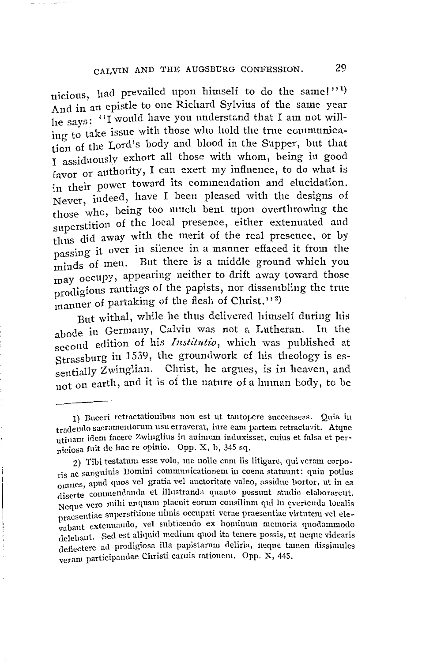micious, had prevailed upon himself to do the same!"<sup>1</sup>) And in an epistle to one Richard Sylvius of the same year he says: "I would have you understand that I am not willing to take issue with those who hold the true communication of the Lord's body and blood in the Supper, but that r assiduously exhort all those with whom, being in good favor or authority, I can exert my influence, to do what is in their power toward its commendation and elucidation. Never, indeed, have I been pleased with the designs of those who, being too much bent upon overthrowing the superstition of the local presence, either extenuated and thus did away with the merit of the real presence, or by passing it over in silence in a manner effaced it from the minds of men. But there is a middle ground which you may occupy, appearing neither to drift away toward those prodigious rantings of the papists, nor dissembling the true manner of partaking of the flesh of Christ."<sup>2</sup>)

But withal, while he thus delivered himself during his abode in Gennany, Calvin was not a Lutheran. In the second edition of his *Institutio*, which was published at Strassburg in 1539, the groundwork of his theology is essentially Zwinglian. Christ, he argues, is in heaven, and not on earth, and it is of the nature of a human body, to be

<sup>1)</sup> Buceri retractationibus non est ut tantopere succenseas. Quia in tradendo sacramentorum usu erraverat, iure eam partem retractavit. Atque utinam idem facere Zwinglius in animum induxisset, cuius et falsa et perniciosa fuit de hac re opinio. Opp. X, b, 345 sq.

<sup>2) 1&#</sup>x27;ibi testatum esse volo, me nolle cum iis litigare, qui veram corporis ac sanguinis Domini communicationem in coena statuunt: quin potius omnes, apud quos vel gratia vel auctoritate valeo, assidue hortor, ut in ea diserte commendanda et illustranda quanto possunt studio elaborareut. Neque vero mihi unquam placuit eorum consilium qui in evertenda localis praesentiae superstitione nimis occupati verae praesentiae virtutem vel elevabant extenuando, vel subticendo ex hominum memoria quodammodo delebant. Sed est aliquid medium quod ita tenere possis, ut neque videaris deflectere acl prodigiosa illa papistarum deliria, ueque tameu dissimules veram participandae Christi camis rationem. Opp. X, 445.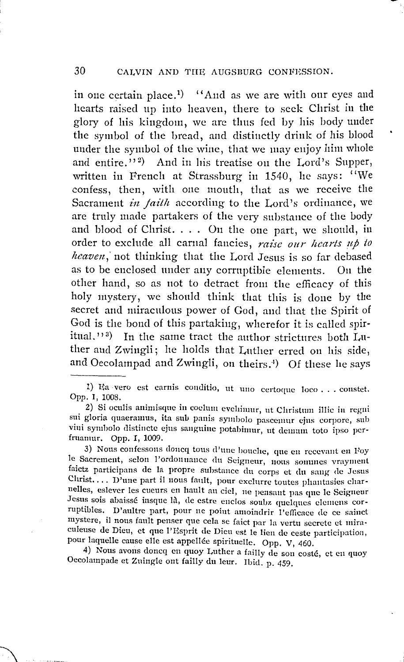30

in one certain place.<sup>1)</sup> "And as we are with our eyes and hearts raised up into heaven, there to seek Christ in the glory of his kingdom, we are thus fed by his body under the symbol of the bread, and distinctly drink of his blood under the symbol of the wine, that we may enjoy him whole and entire."<sup>2</sup>) And in his treatise on the Lord's Supper, written in French at Strassburg in 1540, he says: "We confess, then, with one mouth, that as we receive the Sacrament in faith according to the Lord's ordinance, we are truly made partakers of the very substance of the body and blood of Christ. . . . On the one part, we should, in order to exclude all carnal fancies, raise our hearts up to heaven, not thinking that the Lord Jesus is so far debased as to be enclosed under any corruptible elements. On the other hand, so as not to detract from the efficacy of this holy mystery, we should think that this is done by the secret and miraculous power of God, and that the Spirit of God is the bond of this partaking, wherefor it is called spiritual."3) In the same tract the author strictures both Luther and Zwingli; he holds that Luther erred on his side, and Oecolampad and Zwingli, on theirs.<sup>4</sup>) Of these he says

1) Ea vero est carnis conditio, ut uno certoque loco ... constet. Opp. I, 1008.

2) Si oculis animisque in coelum eveluinur, ut Christum illic in regni sui gloria quaeramus, ita sub panis symbolo pascemur ejus corpore, sub viui symbolo distincte ejus sanguine potabimur, ut demum toto ipso perfruamur. Opp. I, 1009.

3) Nous confessons doncq tous d'une bouche, que en recevant en Foy le Sacrement, selon l'ordonnance du Seigneur, nous sommes vrayment faictz participans de la propre substance du corps et du sang de Jesus Christ.... D'une part il nous fault, pour exclurre toutes phantasies charnelles, eslever les cueurs en hault au ciel, ne pensant pas que le Seigneur Jesus sois abaissé iusque là, de estre enclos soubz quelques elemens corruptibles. D'aultre part, pour ne point amoindrir l'efficace de ce sainct mystere, il nous fault penser que cela se faict par la vertu secrete et miraculeuse de Dieu, et que l'Esprit de Dieu est le lien de ceste participation, pour laquelle cause elle est appellée spirituelle. Opp. V, 460.

4) Nous avons doncq en quoy Luther a failly de son costé, et en quoy Oecolampade et Zuingle ont failly du leur. Ibid. p. 459.